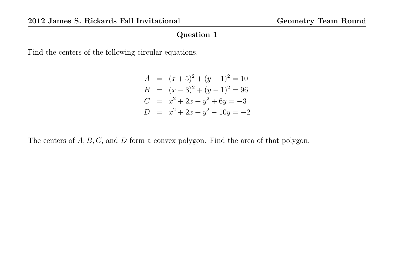Find the centers of the following circular equations.

$$
A = (x+5)^2 + (y-1)^2 = 10
$$
  
\n
$$
B = (x-3)^2 + (y-1)^2 = 96
$$
  
\n
$$
C = x^2 + 2x + y^2 + 6y = -3
$$
  
\n
$$
D = x^2 + 2x + y^2 - 10y = -2
$$

The centers of  $A, B, C$ , and  $D$  form a convex polygon. Find the area of that polygon.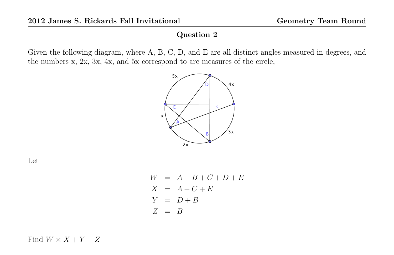Given the following diagram, where A, B, C, D, and E are all distinct angles measured in degrees, and the numbers x, 2x, 3x, 4x, and 5x correspond to arc measures of the circle,



Let

$$
W = A + B + C + D + E
$$
  
\n
$$
X = A + C + E
$$
  
\n
$$
Y = D + B
$$
  
\n
$$
Z = B
$$

Find  $W \times X + Y + Z$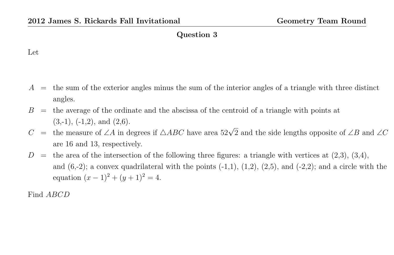#### Let

- $A =$  the sum of the exterior angles minus the sum of the interior angles of a triangle with three distinct angles.
- $B =$  the average of the ordinate and the abscissa of the centroid of a triangle with points at  $(3,-1)$ ,  $(-1,2)$ , and  $(2,6)$ .
- $C =$  the measure of ∠A in degrees if  $\triangle ABC$  have area 52 $\sqrt{2}$  and the side lengths opposite of ∠B and ∠C are 16 and 13, respectively.
- $D =$  the area of the intersection of the following three figures: a triangle with vertices at  $(2,3)$ ,  $(3,4)$ , and  $(6,-2)$ ; a convex quadrilateral with the points  $(-1,1)$ ,  $(1,2)$ ,  $(2,5)$ , and  $(-2,2)$ ; and a circle with the equation  $(x - 1)^2 + (y + 1)^2 = 4$ .

Find ABCD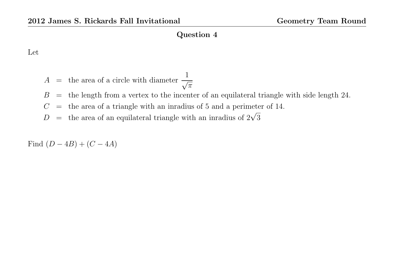Let

- $A =$  the area of a circle with diameter  $\frac{1}{\sqrt{2}}$  $\overline{\pi}$
- $B =$  the length from a vertex to the incenter of an equilateral triangle with side length 24.
- $C =$  the area of a triangle with an inradius of 5 and a perimeter of 14.
- $D =$  the area of an equilateral triangle with an inradius of  $2\sqrt{3}$

Find  $(D - 4B) + (C - 4A)$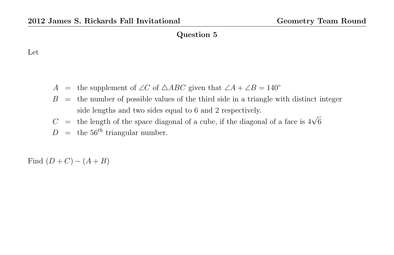## Let

A = the supplement of ∠C of  $\triangle ABC$  given that  $\angle A + \angle B = 140^\circ$ 

- $B =$  the number of possible values of the third side in a triangle with distinct integer side lengths and two sides equal to 6 and 2 respectively.
- Show lengths and two slots equal to 0 and 2 respectively.<br>  $C =$  the length of the space diagonal of a cube, if the diagonal of a face is  $4\sqrt{6}$
- $D =$  the 56<sup>th</sup> triangular number.

Find  $(D+C) - (A+B)$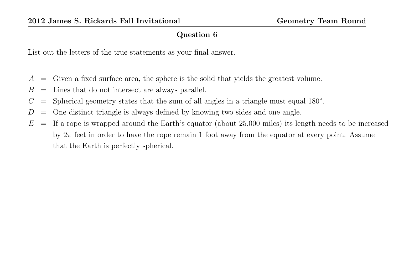List out the letters of the true statements as your final answer.

- $A =$  Given a fixed surface area, the sphere is the solid that yields the greatest volume.
- $B =$  Lines that do not intersect are always parallel.
- $C =$  Spherical geometry states that the sum of all angles in a triangle must equal 180 $^{\circ}$ .
- $D =$  One distinct triangle is always defined by knowing two sides and one angle.
- $E =$  If a rope is wrapped around the Earth's equator (about 25,000 miles) its length needs to be increased by  $2\pi$  feet in order to have the rope remain 1 foot away from the equator at every point. Assume that the Earth is perfectly spherical.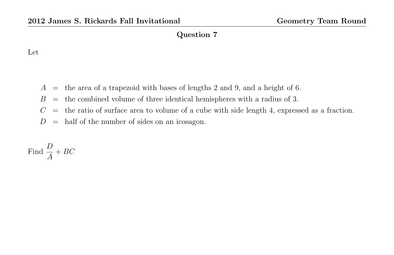## Let

- $A =$  the area of a trapezoid with bases of lengths 2 and 9, and a height of 6.
- $B =$  the combined volume of three identical hemispheres with a radius of 3.
- $C =$  the ratio of surface area to volume of a cube with side length 4, expressed as a fraction.
- $D =$  half of the number of sides on an icosagon.

Find 
$$
\frac{D}{A} + BC
$$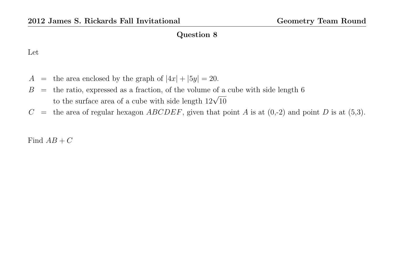#### Let

- $A =$  the area enclosed by the graph of  $|4x| + |5y| = 20$ .
- $B =$  the ratio, expressed as a fraction, of the volume of a cube with side length 6 to the surface area of a cube with side length  $12\sqrt{10}$
- $C$  = the area of regular hexagon *ABCDEF*, given that point *A* is at  $(0,-2)$  and point *D* is at  $(5,3)$ .

Find  $AB + C$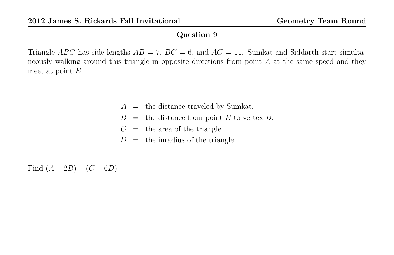Triangle ABC has side lengths  $AB = 7$ ,  $BC = 6$ , and  $AC = 11$ . Sumkat and Siddarth start simultaneously walking around this triangle in opposite directions from point A at the same speed and they meet at point E.

- $A =$  the distance traveled by Sumkat.
- $B =$  the distance from point E to vertex B.
- $C =$  the area of the triangle.
- $D =$  the inradius of the triangle.

Find  $(A - 2B) + (C - 6D)$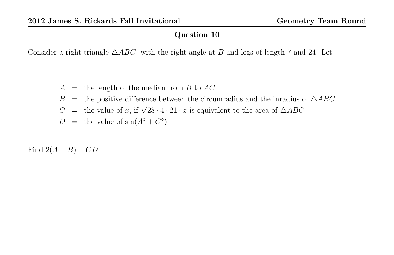Consider a right triangle  $\triangle ABC$ , with the right angle at B and legs of length 7 and 24. Let

- $A =$  the length of the median from B to AC
- $B =$  the positive difference between the circumradius and the inradius of  $\triangle ABC$
- $C =$  the value of x, if  $\sqrt{28 \cdot 4 \cdot 21 \cdot x}$  is equivalent to the area of  $\triangle ABC$
- $D =$  the value of  $sin(A^{\circ} + C^{\circ})$

Find  $2(A + B) + CD$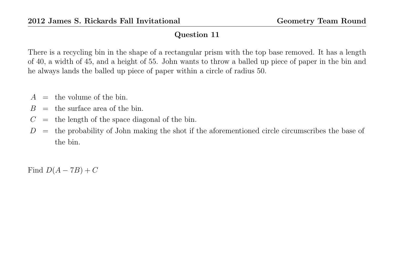There is a recycling bin in the shape of a rectangular prism with the top base removed. It has a length of 40, a width of 45, and a height of 55. John wants to throw a balled up piece of paper in the bin and he always lands the balled up piece of paper within a circle of radius 50.

- $A =$  the volume of the bin.
- $B =$  the surface area of the bin.
- $C =$  the length of the space diagonal of the bin.
- $D =$  the probability of John making the shot if the aforementioned circle circumscribes the base of the bin.

Find  $D(A - 7B) + C$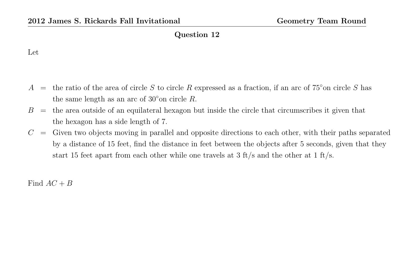#### Let

- A = the ratio of the area of circle S to circle R expressed as a fraction, if an arc of  $75°$  on circle S has the same length as an arc of  $30°$  on circle R.
- $B =$  the area outside of an equilateral hexagon but inside the circle that circumscribes it given that the hexagon has a side length of 7.
- $C =$  Given two objects moving in parallel and opposite directions to each other, with their paths separated by a distance of 15 feet, find the distance in feet between the objects after 5 seconds, given that they start 15 feet apart from each other while one travels at 3 ft/s and the other at 1 ft/s.

Find  $AC + B$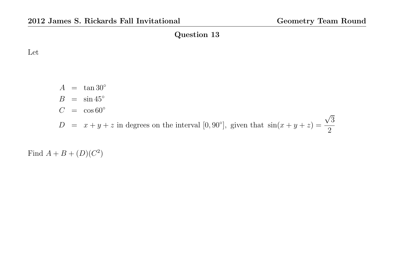Let

 $A = \tan 30^\circ$  $B = \sin 45^\circ$  $C = \cos 60^\circ$  $D = x + y + z$  in degrees on the interval [0,90°], given that  $sin(x + y + z) =$ √ 3 2

Find  $A + B + (D)(C^2)$